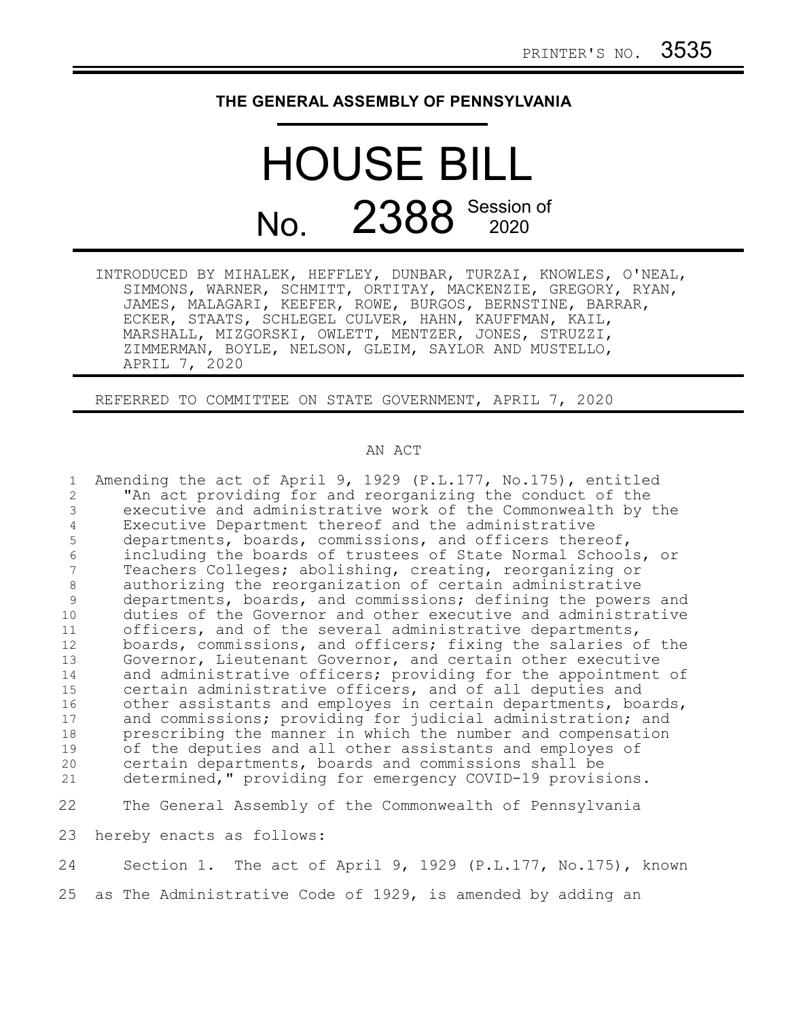## **THE GENERAL ASSEMBLY OF PENNSYLVANIA**

## HOUSE BILL No. 2388 Session of

INTRODUCED BY MIHALEK, HEFFLEY, DUNBAR, TURZAI, KNOWLES, O'NEAL, SIMMONS, WARNER, SCHMITT, ORTITAY, MACKENZIE, GREGORY, RYAN, JAMES, MALAGARI, KEEFER, ROWE, BURGOS, BERNSTINE, BARRAR, ECKER, STAATS, SCHLEGEL CULVER, HAHN, KAUFFMAN, KAIL, MARSHALL, MIZGORSKI, OWLETT, MENTZER, JONES, STRUZZI, ZIMMERMAN, BOYLE, NELSON, GLEIM, SAYLOR AND MUSTELLO, APRIL 7, 2020

REFERRED TO COMMITTEE ON STATE GOVERNMENT, APRIL 7, 2020

## AN ACT

Amending the act of April 9, 1929 (P.L.177, No.175), entitled "An act providing for and reorganizing the conduct of the executive and administrative work of the Commonwealth by the Executive Department thereof and the administrative departments, boards, commissions, and officers thereof, including the boards of trustees of State Normal Schools, or Teachers Colleges; abolishing, creating, reorganizing or authorizing the reorganization of certain administrative departments, boards, and commissions; defining the powers and duties of the Governor and other executive and administrative officers, and of the several administrative departments, boards, commissions, and officers; fixing the salaries of the Governor, Lieutenant Governor, and certain other executive and administrative officers; providing for the appointment of certain administrative officers, and of all deputies and other assistants and employes in certain departments, boards, and commissions; providing for judicial administration; and prescribing the manner in which the number and compensation of the deputies and all other assistants and employes of certain departments, boards and commissions shall be determined," providing for emergency COVID-19 provisions. The General Assembly of the Commonwealth of Pennsylvania hereby enacts as follows: Section 1. The act of April 9, 1929 (P.L.177, No.175), known as The Administrative Code of 1929, is amended by adding an 1 2 3 4 5 6 7 8 9 10 11 12 13 14 15 16 17 18 19 20 21 22 23 24 25